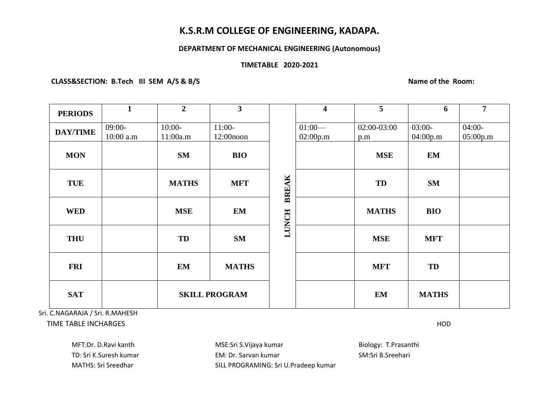# **K.S.R.M COLLEGE OF ENGINEERING, KADAPA.**

### **DEPARTMENT OF MECHANICAL ENGINEERING (Autonomous)**

## **TIMETABLE 2020-2021**

 **CLASS&SECTION: B.Tech III SEM A/S & B/S Name of the Room:**

| <b>PERIODS</b>  | $\mathbf{1}$            | $\overline{2}$       | $\overline{\mathbf{3}}$  |              | $\overline{\mathbf{4}}$ | 5                  | 6                    | $\overline{7}$       |
|-----------------|-------------------------|----------------------|--------------------------|--------------|-------------------------|--------------------|----------------------|----------------------|
| <b>DAY/TIME</b> | $09:00-$<br>$10:00$ a.m | $10:00-$<br>11:00a.m | $11:00-$<br>$12:00$ noon |              | $01:00-$<br>02:00p.m    | 02:00-03:00<br>p.m | $03:00-$<br>04:00p.m | $04:00-$<br>05:00p.m |
| <b>MON</b>      |                         | <b>SM</b>            | <b>BIO</b>               |              |                         | <b>MSE</b>         | <b>EM</b>            |                      |
| <b>TUE</b>      |                         | <b>MATHS</b>         | <b>MFT</b>               | <b>BREAK</b> |                         | TD                 | <b>SM</b>            |                      |
| <b>WED</b>      |                         | <b>MSE</b>           | EM                       | <b>LUNCH</b> |                         | <b>MATHS</b>       | <b>BIO</b>           |                      |
| <b>THU</b>      |                         | TD                   | <b>SM</b>                |              |                         | <b>MSE</b>         | <b>MFT</b>           |                      |
| <b>FRI</b>      |                         | EM                   | <b>MATHS</b>             |              |                         | <b>MFT</b>         | <b>TD</b>            |                      |
| <b>SAT</b>      |                         | <b>SKILL PROGRAM</b> |                          |              |                         | <b>EM</b>          | <b>MATHS</b>         |                      |

 Sri. C.NAGARAJA / Sri. R.MAHESH TIME TABLE INCHARGES HOD

MFT:Dr. D.Ravi kanth **MSE:Sri S.Vijaya kumar** MSE:Sri S.Vijaya kumar Biology: T.Prasanthi TD: Sri K.Suresh kumar TD: Sarvan kumar EM: Dr. Sarvan kumar SM: Sri B.Sreehari MATHS: Sri Sreedhar SILL PROGRAMING: Sri U.Pradeep kumar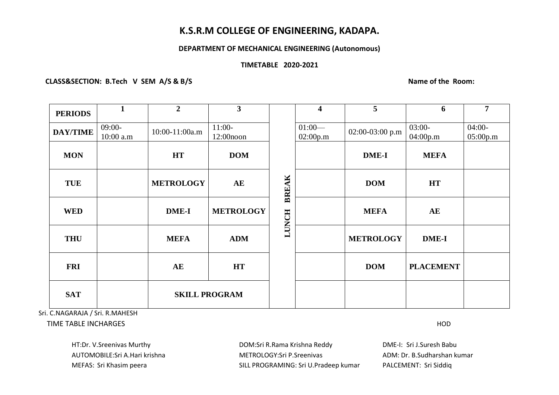# **K.S.R.M COLLEGE OF ENGINEERING, KADAPA.**

### **DEPARTMENT OF MECHANICAL ENGINEERING (Autonomous)**

### **TIMETABLE 2020-2021**

CLASS&SECTION: B.Tech V SEM A/S & B/S Name of the Room:

| <b>PERIODS</b>  | $\mathbf{1}$          | $\overline{2}$       | 3 <sup>1</sup>           |              | $\overline{\mathbf{4}}$ | 5                 | 6                    | 7                    |
|-----------------|-----------------------|----------------------|--------------------------|--------------|-------------------------|-------------------|----------------------|----------------------|
| <b>DAY/TIME</b> | $09:00-$<br>10:00 a.m | 10:00-11:00a.m       | $11:00-$<br>$12:00$ noon |              | $01:00-$<br>02:00p.m    | $02:00-03:00$ p.m | $03:00-$<br>04:00p.m | $04:00-$<br>05:00p.m |
| <b>MON</b>      |                       | <b>HT</b>            | <b>DOM</b>               |              |                         | <b>DME-I</b>      | <b>MEFA</b>          |                      |
| <b>TUE</b>      |                       | <b>METROLOGY</b>     | AE                       | <b>BREAK</b> |                         | <b>DOM</b>        | <b>HT</b>            |                      |
| <b>WED</b>      |                       | <b>DME-I</b>         | <b>METROLOGY</b>         | <b>LUNCH</b> |                         | <b>MEFA</b>       | AE                   |                      |
| <b>THU</b>      |                       | <b>MEFA</b>          | <b>ADM</b>               |              |                         | <b>METROLOGY</b>  | <b>DME-I</b>         |                      |
| <b>FRI</b>      |                       | AE                   | <b>HT</b>                |              |                         | <b>DOM</b>        | <b>PLACEMENT</b>     |                      |
| <b>SAT</b>      |                       | <b>SKILL PROGRAM</b> |                          |              |                         |                   |                      |                      |

Sri. C.NAGARAJA / Sri. R.MAHESH

TIME TABLE INCHARGES HOD

HT:Dr. V.Sreenivas Murthy DOM:Sri R.Rama Krishna Reddy DME-I: Sri J.Suresh Babu AUTOMOBILE:Sri A.Hari krishna METROLOGY:Sri P.Sreenivas ADM: Dr. B.Sudharshan kumar MEFAS: Sri Khasim peera SILL PROGRAMING: Sri U.Pradeep kumar PALCEMENT: Sri Siddiq